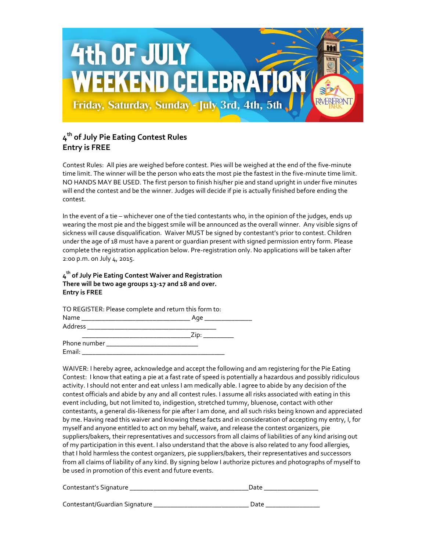

## **4 th of July Pie Eating Contest Rules Entry is FREE**

Contest Rules: All pies are weighed before contest. Pies will be weighed at the end of the five-minute time limit. The winner will be the person who eats the most pie the fastest in the five-minute time limit. NO HANDS MAY BE USED. The first person to finish his/her pie and stand upright in under five minutes will end the contest and be the winner. Judges will decide if pie is actually finished before ending the contest.

In the event of a tie – whichever one of the tied contestants who, in the opinion of the judges, ends up wearing the most pie and the biggest smile will be announced as the overall winner. Any visible signs of sickness will cause disqualification. Waiver MUST be signed by contestant's prior to contest. Children under the age of 18 must have a parent or guardian present with signed permission entry form. Please complete the registration application below. Pre-registration only. No applications will be taken after 2:00 p.m. on July 4, 2015.

**4 th of July Pie Eating Contest Waiver and Registration There will be two age groups 13-17 and 18 and over. Entry is FREE**

TO REGISTER: Please complete and return this form to:

| Name         | Age |
|--------------|-----|
| Address      |     |
|              |     |
| Phone number |     |
| Email:       |     |

WAIVER: I hereby agree, acknowledge and accept the following and am registering for the Pie Eating Contest: I know that eating a pie at a fast rate of speed is potentially a hazardous and possibly ridiculous activity. I should not enter and eat unless I am medically able. I agree to abide by any decision of the contest officials and abide by any and all contest rules. I assume all risks associated with eating in this event including, but not limited to, indigestion, stretched tummy, bluenose, contact with other contestants, a general dis-likeness for pie after I am done, and all such risks being known and appreciated by me. Having read this waiver and knowing these facts and in consideration of accepting my entry, I, for myself and anyone entitled to act on my behalf, waive, and release the contest organizers, pie suppliers/bakers, their representatives and successors from all claims of liabilities of any kind arising out of my participation in this event. I also understand that the above is also related to any food allergies, that I hold harmless the contest organizers, pie suppliers/bakers, their representatives and successors from all claims of liability of any kind. By signing below I authorize pictures and photographs of myself to be used in promotion of this event and future events.

| Contestant's Signature        | Date |
|-------------------------------|------|
|                               |      |
| Contestant/Guardian Signature | Date |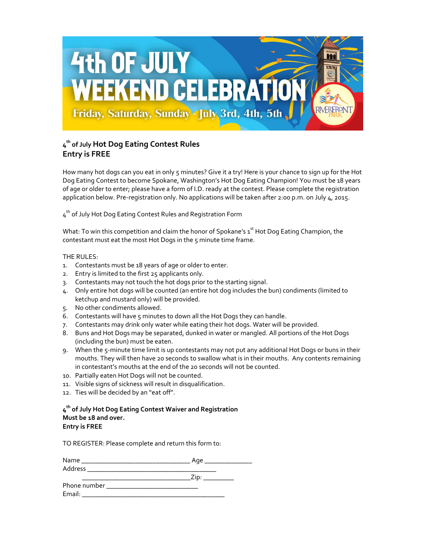

## **4 th of July Hot Dog Eating Contest Rules Entry is FREE**

How many hot dogs can you eat in only 5 minutes? Give it a try! Here is your chance to sign up for the Hot Dog Eating Contest to become Spokane, Washington's Hot Dog Eating Champion! You must be 18 years of age or older to enter; please have a form of I.D. ready at the contest. Please complete the registration application below. Pre-registration only. No applications will be taken after 2:00 p.m. on July 4, 2015.

 $\tau^{\text{th}}$  of July Hot Dog Eating Contest Rules and Registration Form

What: To win this competition and claim the honor of Spokane's 1<sup>st</sup> Hot Dog Eating Champion, the contestant must eat the most Hot Dogs in the 5 minute time frame.

## THE RULES:

- 1. Contestants must be 18 years of age or older to enter.
- 2. Entry is limited to the first 25 applicants only.
- 3. Contestants may not touch the hot dogs prior to the starting signal.
- 4. Only entire hot dogs will be counted (an entire hot dog includes the bun) condiments (limited to ketchup and mustard only) will be provided.
- 5. No other condiments allowed.
- 6. Contestants will have 5 minutes to down all the Hot Dogs they can handle.
- 7. Contestants may drink only water while eating their hot dogs. Water will be provided.
- 8. Buns and Hot Dogs may be separated, dunked in water or mangled. All portions of the Hot Dogs (including the bun) must be eaten.
- 9. When the 5-minute time limit is up contestants may not put any additional Hot Dogs or buns in their mouths. They will then have 20 seconds to swallow what is in their mouths. Any contents remaining in contestant's mouths at the end of the 20 seconds will not be counted.
- 10. Partially eaten Hot Dogs will not be counted.
- 11. Visible signs of sickness will result in disqualification.
- 12. Ties will be decided by an "eat off".

## **4 th of July Hot Dog Eating Contest Waiver and Registration Must be 18 and over. Entry is FREE**

TO REGISTER: Please complete and return this form to:

| Name                                                                                       | Age  |
|--------------------------------------------------------------------------------------------|------|
| Address<br>the contract of the contract of the contract of the contract of the contract of |      |
|                                                                                            | Zip: |
| Phone number                                                                               |      |
| Email:                                                                                     |      |